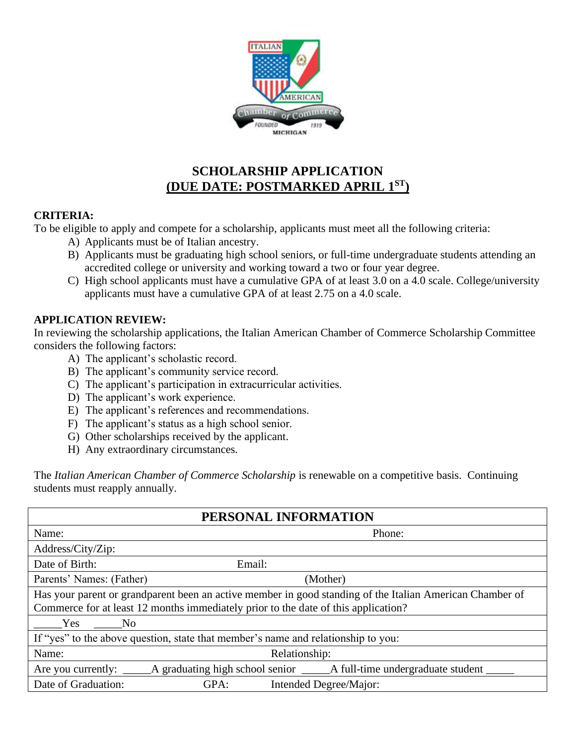

# **SCHOLARSHIP APPLICATION (DUE DATE: POSTMARKED APRIL 1ST)**

#### **CRITERIA:**

To be eligible to apply and compete for a scholarship, applicants must meet all the following criteria:

- A) Applicants must be of Italian ancestry.
- B) Applicants must be graduating high school seniors, or full-time undergraduate students attending an accredited college or university and working toward a two or four year degree.
- C) High school applicants must have a cumulative GPA of at least 3.0 on a 4.0 scale. College/university applicants must have a cumulative GPA of at least 2.75 on a 4.0 scale.

### **APPLICATION REVIEW:**

In reviewing the scholarship applications, the Italian American Chamber of Commerce Scholarship Committee considers the following factors:

- A) The applicant's scholastic record.
- B) The applicant's community service record.
- C) The applicant's participation in extracurricular activities.
- D) The applicant's work experience.
- E) The applicant's references and recommendations.
- F) The applicant's status as a high school senior.
- G) Other scholarships received by the applicant.
- H) Any extraordinary circumstances.

The *Italian American Chamber of Commerce Scholarship* is renewable on a competitive basis. Continuing students must reapply annually.

| PERSONAL INFORMATION                                                                                     |                                |  |  |  |  |
|----------------------------------------------------------------------------------------------------------|--------------------------------|--|--|--|--|
| Name:                                                                                                    | Phone:                         |  |  |  |  |
| Address/City/Zip:                                                                                        |                                |  |  |  |  |
| Date of Birth:                                                                                           | Email:                         |  |  |  |  |
| Parents' Names: (Father)                                                                                 | (Mother)                       |  |  |  |  |
| Has your parent or grandparent been an active member in good standing of the Italian American Chamber of |                                |  |  |  |  |
| Commerce for at least 12 months immediately prior to the date of this application?                       |                                |  |  |  |  |
| Yes<br>No.                                                                                               |                                |  |  |  |  |
| If "yes" to the above question, state that member's name and relationship to you:                        |                                |  |  |  |  |
| Name:                                                                                                    | Relationship:                  |  |  |  |  |
| Are you currently: $\Box$                                                                                |                                |  |  |  |  |
| Date of Graduation:                                                                                      | GPA:<br>Intended Degree/Major: |  |  |  |  |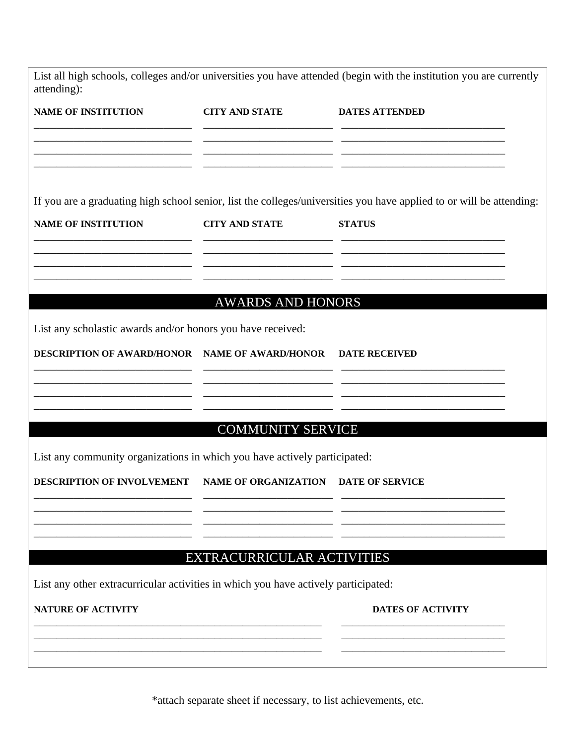| NAME OF INSTITUTION CITY AND STATE DATES ATTENDED                                                   |                                                                                                                                                                                                                                |
|-----------------------------------------------------------------------------------------------------|--------------------------------------------------------------------------------------------------------------------------------------------------------------------------------------------------------------------------------|
| <b>CITY AND STATE</b><br>the control of the control of the control of the control of the control of | If you are a graduating high school senior, list the colleges/universities you have applied to or will be attending:<br><b>STATUS</b>                                                                                          |
| <b>AWARDS AND HONORS</b>                                                                            | <u> 1989 - Johann Stoff, deutscher Stoff, der Stoff, der Stoff, der Stoff, der Stoff, der Stoff, der Stoff, der S</u>                                                                                                          |
| DESCRIPTION OF AWARD/HONOR NAME OF AWARD/HONOR DATE RECEIVED                                        |                                                                                                                                                                                                                                |
| <b>COMMUNITY SERVICE</b>                                                                            |                                                                                                                                                                                                                                |
| NAME OF ORGANIZATION DATE OF SERVICE                                                                |                                                                                                                                                                                                                                |
| EXTRACURRICULAR ACTIVITIES                                                                          |                                                                                                                                                                                                                                |
|                                                                                                     | <b>DATES OF ACTIVITY</b>                                                                                                                                                                                                       |
|                                                                                                     | List any scholastic awards and/or honors you have received:<br>List any community organizations in which you have actively participated:<br>List any other extracurricular activities in which you have actively participated: |

\*attach separate sheet if necessary, to list achievements, etc.